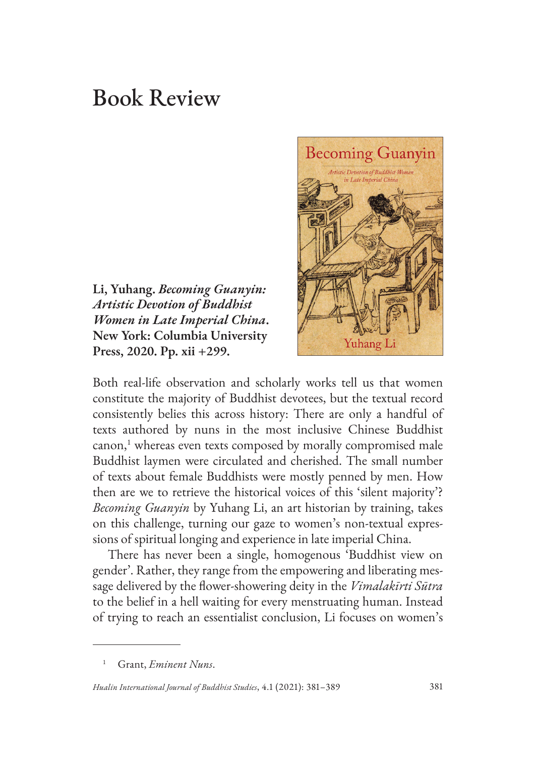## Book Review

**Li, Yuhang.** *Becoming Guanyin: Artistic Devotion of Buddhist Women in Late Imperial China***. New York: Columbia University Press, 2020. Pp. xii +299.**



Both real-life observation and scholarly works tell us that women constitute the majority of Buddhist devotees, but the textual record consistently belies this across history: There are only a handful of texts authored by nuns in the most inclusive Chinese Buddhist canon,<sup>1</sup> whereas even texts composed by morally compromised male Buddhist laymen were circulated and cherished. The small number of texts about female Buddhists were mostly penned by men. How then are we to retrieve the historical voices of this 'silent majority'? *Becoming Guanyin* by Yuhang Li, an art historian by training, takes on this challenge, turning our gaze to women's non-textual expressions of spiritual longing and experience in late imperial China.

There has never been a single, homogenous 'Buddhist view on gender'. Rather, they range from the empowering and liberating message delivered by the flower-showering deity in the *Vimalakīrti Sūtra* to the belief in a hell waiting for every menstruating human. Instead of trying to reach an essentialist conclusion, Li focuses on women's

<sup>1</sup> Grant, *Eminent Nuns*.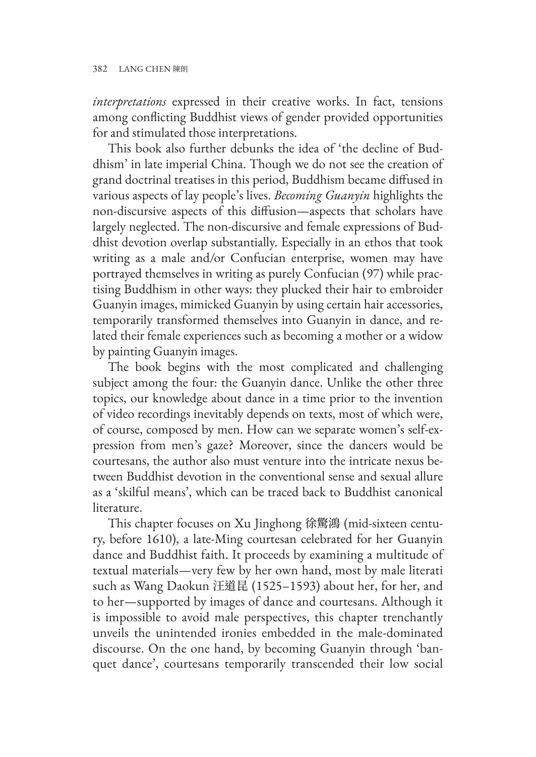*interpretations* expressed in their creative works. In fact, tensions among conflicting Buddhist views of gender provided opportunities for and stimulated those interpretations.

This book also further debunks the idea of 'the decline of Buddhism' in late imperial China. Though we do not see the creation of grand doctrinal treatises in this period, Buddhism became diffused in various aspects of lay people's lives. *Becoming Guanyin* highlights the non-discursive aspects of this diffusion—aspects that scholars have largely neglected. The non-discursive and female expressions of Buddhist devotion overlap substantially. Especially in an ethos that took writing as a male and/or Confucian enterprise, women may have portrayed themselves in writing as purely Confucian (97) while practising Buddhism in other ways: they plucked their hair to embroider Guanyin images, mimicked Guanyin by using certain hair accessories, temporarily transformed themselves into Guanyin in dance, and related their female experiences such as becoming a mother or a widow by painting Guanyin images.

The book begins with the most complicated and challenging subject among the four: the Guanyin dance. Unlike the other three topics, our knowledge about dance in a time prior to the invention of video recordings inevitably depends on texts, most of which were, of course, composed by men. How can we separate women's self-expression from men's gaze? Moreover, since the dancers would be courtesans, the author also must venture into the intricate nexus between Buddhist devotion in the conventional sense and sexual allure as a 'skilful means', which can be traced back to Buddhist canonical literature.

This chapter focuses on Xu Jinghong 徐驚鴻 (mid-sixteen century, before 1610), a late-Ming courtesan celebrated for her Guanyin dance and Buddhist faith. It proceeds by examining a multitude of textual materials—very few by her own hand, most by male literati such as Wang Daokun 汪道昆 (1525–1593) about her, for her, and to her—supported by images of dance and courtesans. Although it is impossible to avoid male perspectives, this chapter trenchantly unveils the unintended ironies embedded in the male-dominated discourse. On the one hand, by becoming Guanyin through 'banquet dance', courtesans temporarily transcended their low social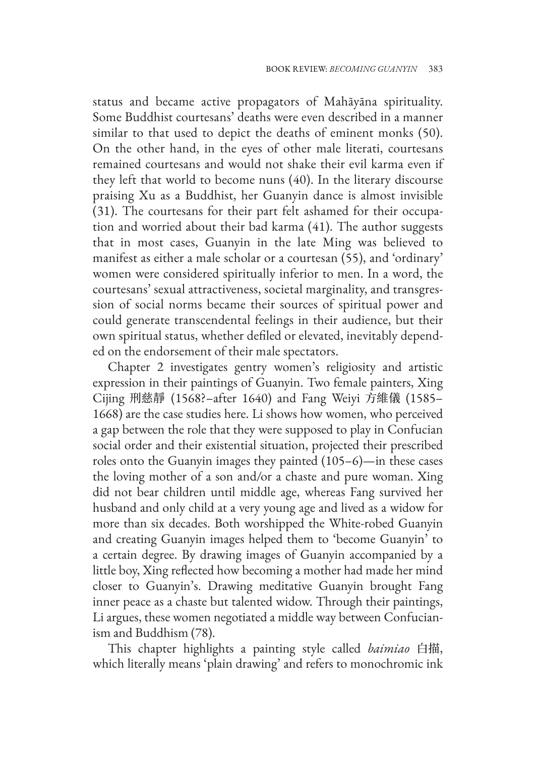status and became active propagators of Mahāyāna spirituality. Some Buddhist courtesans' deaths were even described in a manner similar to that used to depict the deaths of eminent monks (50). On the other hand, in the eyes of other male literati, courtesans remained courtesans and would not shake their evil karma even if they left that world to become nuns (40). In the literary discourse praising Xu as a Buddhist, her Guanyin dance is almost invisible (31). The courtesans for their part felt ashamed for their occupation and worried about their bad karma (41). The author suggests that in most cases, Guanyin in the late Ming was believed to manifest as either a male scholar or a courtesan (55), and 'ordinary' women were considered spiritually inferior to men. In a word, the courtesans' sexual attractiveness, societal marginality, and transgression of social norms became their sources of spiritual power and could generate transcendental feelings in their audience, but their own spiritual status, whether defiled or elevated, inevitably depended on the endorsement of their male spectators.

Chapter 2 investigates gentry women's religiosity and artistic expression in their paintings of Guanyin. Two female painters, Xing Cijing 刑慈靜 (1568?–after 1640) and Fang Weiyi 方維儀 (1585– 1668) are the case studies here. Li shows how women, who perceived a gap between the role that they were supposed to play in Confucian social order and their existential situation, projected their prescribed roles onto the Guanyin images they painted (105–6)—in these cases the loving mother of a son and/or a chaste and pure woman. Xing did not bear children until middle age, whereas Fang survived her husband and only child at a very young age and lived as a widow for more than six decades. Both worshipped the White-robed Guanyin and creating Guanyin images helped them to 'become Guanyin' to a certain degree. By drawing images of Guanyin accompanied by a little boy, Xing reflected how becoming a mother had made her mind closer to Guanyin's. Drawing meditative Guanyin brought Fang inner peace as a chaste but talented widow. Through their paintings, Li argues, these women negotiated a middle way between Confucianism and Buddhism (78).

This chapter highlights a painting style called *baimiao* 白描, which literally means 'plain drawing' and refers to monochromic ink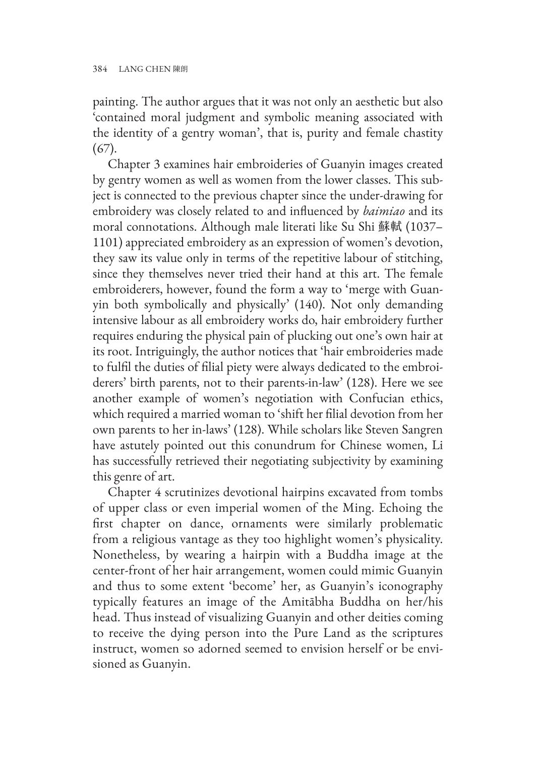painting. The author argues that it was not only an aesthetic but also 'contained moral judgment and symbolic meaning associated with the identity of a gentry woman', that is, purity and female chastity (67).

Chapter 3 examines hair embroideries of Guanyin images created by gentry women as well as women from the lower classes. This subject is connected to the previous chapter since the under-drawing for embroidery was closely related to and influenced by *baimiao* and its moral connotations. Although male literati like Su Shi 蘇軾 (1037– 1101) appreciated embroidery as an expression of women's devotion, they saw its value only in terms of the repetitive labour of stitching, since they themselves never tried their hand at this art. The female embroiderers, however, found the form a way to 'merge with Guanyin both symbolically and physically' (140). Not only demanding intensive labour as all embroidery works do, hair embroidery further requires enduring the physical pain of plucking out one's own hair at its root. Intriguingly, the author notices that 'hair embroideries made to fulfil the duties of filial piety were always dedicated to the embroiderers' birth parents, not to their parents-in-law' (128). Here we see another example of women's negotiation with Confucian ethics, which required a married woman to 'shift her filial devotion from her own parents to her in-laws' (128). While scholars like Steven Sangren have astutely pointed out this conundrum for Chinese women, Li has successfully retrieved their negotiating subjectivity by examining this genre of art.

Chapter 4 scrutinizes devotional hairpins excavated from tombs of upper class or even imperial women of the Ming. Echoing the first chapter on dance, ornaments were similarly problematic from a religious vantage as they too highlight women's physicality. Nonetheless, by wearing a hairpin with a Buddha image at the center-front of her hair arrangement, women could mimic Guanyin and thus to some extent 'become' her, as Guanyin's iconography typically features an image of the Amitābha Buddha on her/his head. Thus instead of visualizing Guanyin and other deities coming to receive the dying person into the Pure Land as the scriptures instruct, women so adorned seemed to envision herself or be envisioned as Guanyin.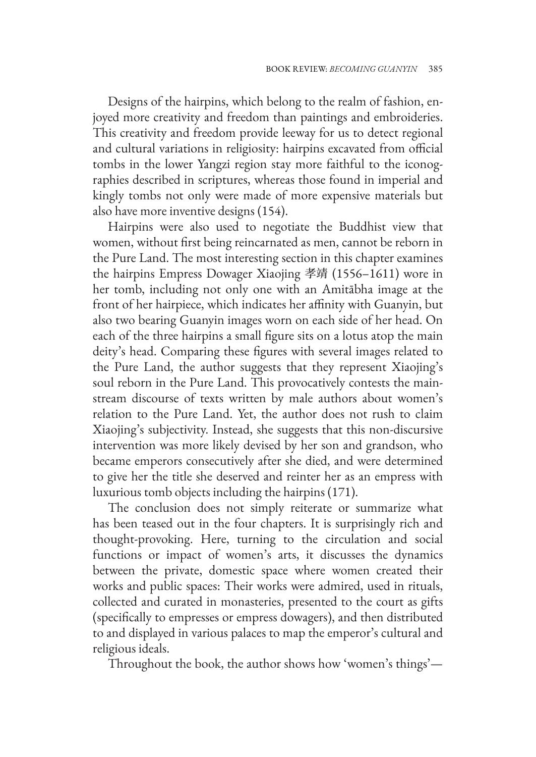Designs of the hairpins, which belong to the realm of fashion, enjoyed more creativity and freedom than paintings and embroideries. This creativity and freedom provide leeway for us to detect regional and cultural variations in religiosity: hairpins excavated from official tombs in the lower Yangzi region stay more faithful to the iconographies described in scriptures, whereas those found in imperial and kingly tombs not only were made of more expensive materials but also have more inventive designs (154).

Hairpins were also used to negotiate the Buddhist view that women, without first being reincarnated as men, cannot be reborn in the Pure Land. The most interesting section in this chapter examines the hairpins Empress Dowager Xiaojing 孝靖 (1556–1611) wore in her tomb, including not only one with an Amitābha image at the front of her hairpiece, which indicates her affinity with Guanyin, but also two bearing Guanyin images worn on each side of her head. On each of the three hairpins a small figure sits on a lotus atop the main deity's head. Comparing these figures with several images related to the Pure Land, the author suggests that they represent Xiaojing's soul reborn in the Pure Land. This provocatively contests the mainstream discourse of texts written by male authors about women's relation to the Pure Land. Yet, the author does not rush to claim Xiaojing's subjectivity. Instead, she suggests that this non-discursive intervention was more likely devised by her son and grandson, who became emperors consecutively after she died, and were determined to give her the title she deserved and reinter her as an empress with luxurious tomb objects including the hairpins (171).

The conclusion does not simply reiterate or summarize what has been teased out in the four chapters. It is surprisingly rich and thought-provoking. Here, turning to the circulation and social functions or impact of women's arts, it discusses the dynamics between the private, domestic space where women created their works and public spaces: Their works were admired, used in rituals, collected and curated in monasteries, presented to the court as gifts (specifically to empresses or empress dowagers), and then distributed to and displayed in various palaces to map the emperor's cultural and religious ideals.

Throughout the book, the author shows how 'women's things'—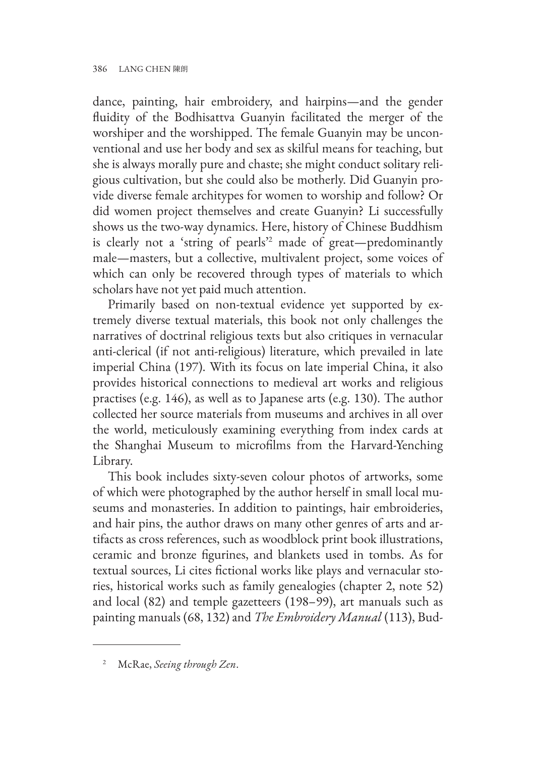dance, painting, hair embroidery, and hairpins—and the gender fluidity of the Bodhisattva Guanyin facilitated the merger of the worshiper and the worshipped. The female Guanyin may be unconventional and use her body and sex as skilful means for teaching, but she is always morally pure and chaste; she might conduct solitary religious cultivation, but she could also be motherly. Did Guanyin provide diverse female architypes for women to worship and follow? Or did women project themselves and create Guanyin? Li successfully shows us the two-way dynamics. Here, history of Chinese Buddhism is clearly not a 'string of pearls'<sup>2</sup> made of great—predominantly male—masters, but a collective, multivalent project, some voices of which can only be recovered through types of materials to which scholars have not yet paid much attention.

Primarily based on non-textual evidence yet supported by extremely diverse textual materials, this book not only challenges the narratives of doctrinal religious texts but also critiques in vernacular anti-clerical (if not anti-religious) literature, which prevailed in late imperial China (197). With its focus on late imperial China, it also provides historical connections to medieval art works and religious practises (e.g. 146), as well as to Japanese arts (e.g. 130). The author collected her source materials from museums and archives in all over the world, meticulously examining everything from index cards at the Shanghai Museum to microfilms from the Harvard-Yenching Library.

This book includes sixty-seven colour photos of artworks, some of which were photographed by the author herself in small local museums and monasteries. In addition to paintings, hair embroideries, and hair pins, the author draws on many other genres of arts and artifacts as cross references, such as woodblock print book illustrations, ceramic and bronze figurines, and blankets used in tombs. As for textual sources, Li cites fictional works like plays and vernacular stories, historical works such as family genealogies (chapter 2, note 52) and local (82) and temple gazetteers (198–99), art manuals such as painting manuals (68, 132) and *The Embroidery Manual* (113), Bud-

<sup>2</sup> McRae, *Seeing through Zen*.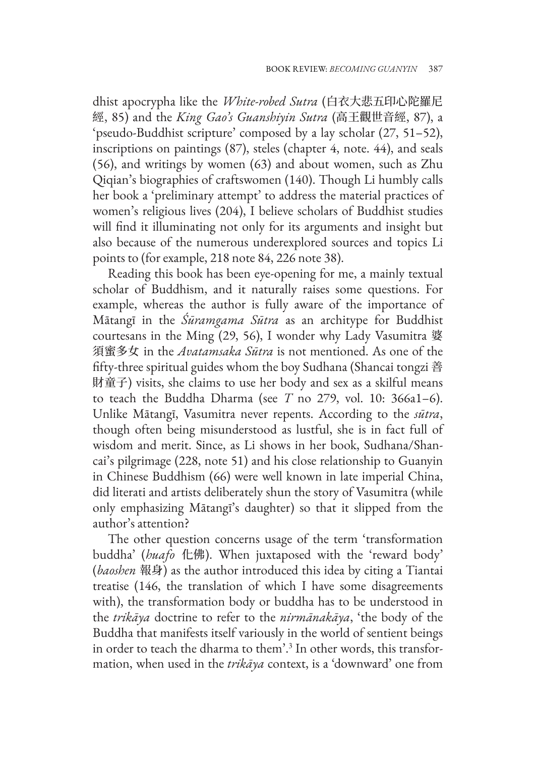dhist apocrypha like the *White-robed Sutra* (白衣大悲五印心陀羅尼 經, 85) and the *King Gao's Guanshiyin Sutra* (高王觀世音經, 87), a 'pseudo-Buddhist scripture' composed by a lay scholar (27, 51–52), inscriptions on paintings (87), steles (chapter 4, note. 44), and seals (56), and writings by women (63) and about women, such as Zhu Qiqian's biographies of craftswomen (140). Though Li humbly calls her book a 'preliminary attempt' to address the material practices of women's religious lives (204), I believe scholars of Buddhist studies will find it illuminating not only for its arguments and insight but also because of the numerous underexplored sources and topics Li points to (for example, 218 note 84, 226 note 38).

Reading this book has been eye-opening for me, a mainly textual scholar of Buddhism, and it naturally raises some questions. For example, whereas the author is fully aware of the importance of Mātangī in the *Śūramgama Sūtra* as an architype for Buddhist courtesans in the Ming (29, 56), I wonder why Lady Vasumitra 婆 須蜜多女 in the *Avatamsaka Sūtra* is not mentioned. As one of the fifty-three spiritual guides whom the boy Sudhana (Shancai tongzi 善 財童子) visits, she claims to use her body and sex as a skilful means to teach the Buddha Dharma (see *T* no 279, vol. 10: 366a1–6). Unlike Mātangī, Vasumitra never repents. According to the *sūtra*, though often being misunderstood as lustful, she is in fact full of wisdom and merit. Since, as Li shows in her book, Sudhana/Shancai's pilgrimage (228, note 51) and his close relationship to Guanyin in Chinese Buddhism (66) were well known in late imperial China, did literati and artists deliberately shun the story of Vasumitra (while only emphasizing Mātangī's daughter) so that it slipped from the author's attention?

The other question concerns usage of the term 'transformation buddha' (*huafo* 化佛). When juxtaposed with the 'reward body' (*baoshen* 報身) as the author introduced this idea by citing a Tiantai treatise (146, the translation of which I have some disagreements with), the transformation body or buddha has to be understood in the *trikāya* doctrine to refer to the *nirmānakāya*, 'the body of the Buddha that manifests itself variously in the world of sentient beings in order to teach the dharma to them'.<sup>3</sup> In other words, this transformation, when used in the *trikāya* context, is a 'downward' one from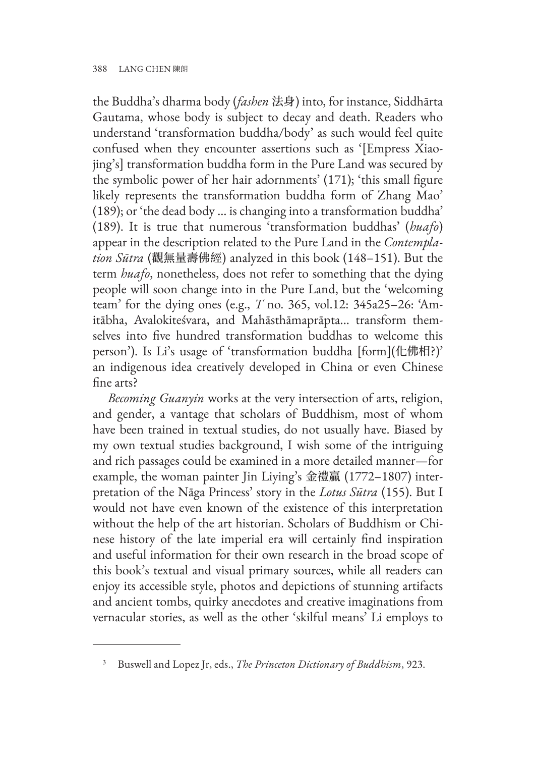the Buddha's dharma body (*fashen* 法身) into, for instance, Siddhārta Gautama, whose body is subject to decay and death. Readers who understand 'transformation buddha/body' as such would feel quite confused when they encounter assertions such as '[Empress Xiaojing's] transformation buddha form in the Pure Land was secured by the symbolic power of her hair adornments' (171); 'this small figure likely represents the transformation buddha form of Zhang Mao' (189); or 'the dead body … is changing into a transformation buddha' (189). It is true that numerous 'transformation buddhas' (*huafo*) appear in the description related to the Pure Land in the *Contemplation Sūtra* (觀無量壽佛經) analyzed in this book (148–151). But the term *huafo*, nonetheless, does not refer to something that the dying people will soon change into in the Pure Land, but the 'welcoming team' for the dying ones (e.g., *T* no. 365, vol.12: 345a25–26: 'Amitābha, Avalokiteśvara, and Mahāsthāmaprāpta... transform themselves into five hundred transformation buddhas to welcome this person'). Is Li's usage of 'transformation buddha [form](化佛相?)' an indigenous idea creatively developed in China or even Chinese fine arts?

*Becoming Guanyin* works at the very intersection of arts, religion, and gender, a vantage that scholars of Buddhism, most of whom have been trained in textual studies, do not usually have. Biased by my own textual studies background, I wish some of the intriguing and rich passages could be examined in a more detailed manner—for example, the woman painter Jin Liying's 金禮贏 (1772–1807) interpretation of the Nāga Princess' story in the *Lotus Sūtra* (155). But I would not have even known of the existence of this interpretation without the help of the art historian. Scholars of Buddhism or Chinese history of the late imperial era will certainly find inspiration and useful information for their own research in the broad scope of this book's textual and visual primary sources, while all readers can enjoy its accessible style, photos and depictions of stunning artifacts and ancient tombs, quirky anecdotes and creative imaginations from vernacular stories, as well as the other 'skilful means' Li employs to

<sup>3</sup> Buswell and Lopez Jr, eds., *The Princeton Dictionary of Buddhism*, 923.